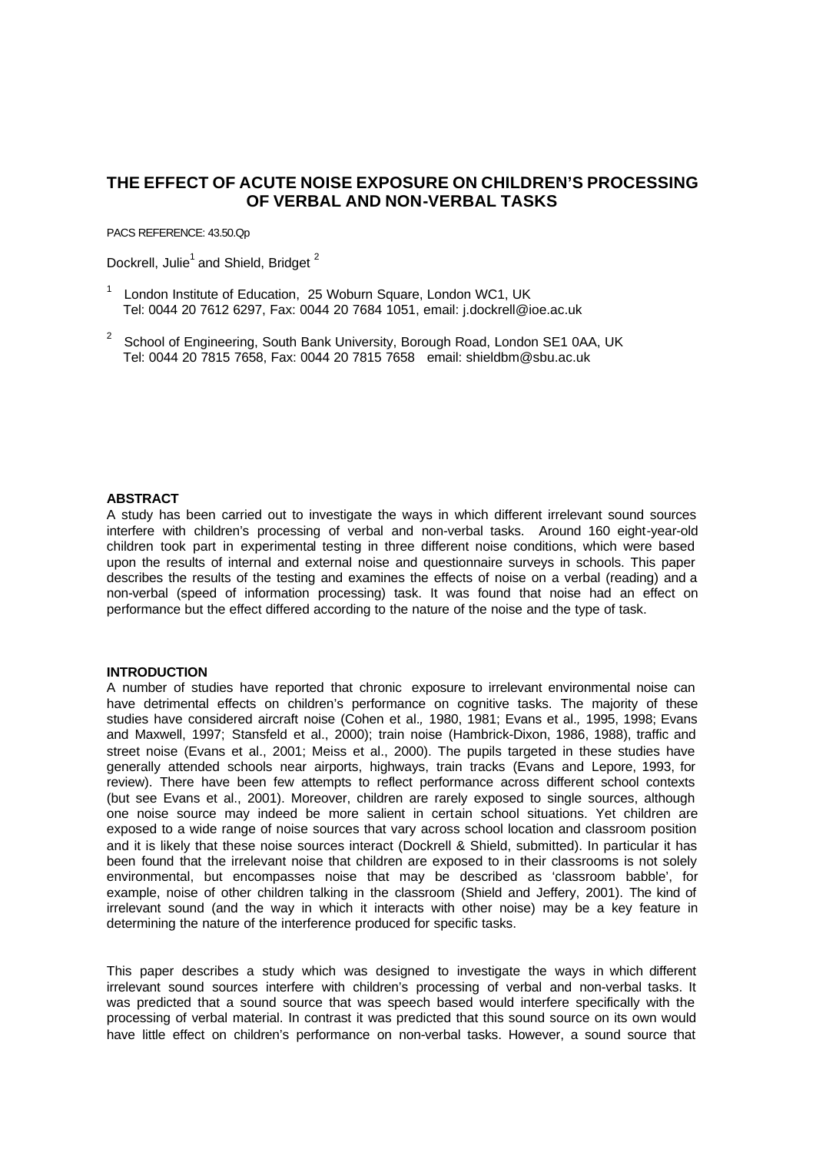# **THE EFFECT OF ACUTE NOISE EXPOSURE ON CHILDREN'S PROCESSING OF VERBAL AND NON-VERBAL TASKS**

PACS REFERENCE: 43.50.Qp

Dockrell, Julie<sup>1</sup> and Shield, Bridget<sup>2</sup>

- 1 London Institute of Education, 25 Woburn Square, London WC1, UK Tel: 0044 20 7612 6297, Fax: 0044 20 7684 1051, email: j.dockrell@ioe.ac.uk
- <sup>2</sup> School of Engineering, South Bank University, Borough Road, London SE1 0AA, UK Tel: 0044 20 7815 7658, Fax: 0044 20 7815 7658 email: shieldbm@sbu.ac.uk

## **ABSTRACT**

A study has been carried out to investigate the ways in which different irrelevant sound sources interfere with children's processing of verbal and non-verbal tasks. Around 160 eight-year-old children took part in experimental testing in three different noise conditions, which were based upon the results of internal and external noise and questionnaire surveys in schools. This paper describes the results of the testing and examines the effects of noise on a verbal (reading) and a non-verbal (speed of information processing) task. It was found that noise had an effect on performance but the effect differed according to the nature of the noise and the type of task.

#### **INTRODUCTION**

A number of studies have reported that chronic exposure to irrelevant environmental noise can have detrimental effects on children's performance on cognitive tasks. The majority of these studies have considered aircraft noise (Cohen et al.*,* 1980, 1981; Evans et al.*,* 1995, 1998; Evans and Maxwell, 1997; Stansfeld et al., 2000); train noise (Hambrick-Dixon, 1986, 1988), traffic and street noise (Evans et al., 2001; Meiss et al., 2000). The pupils targeted in these studies have generally attended schools near airports, highways, train tracks (Evans and Lepore, 1993, for review). There have been few attempts to reflect performance across different school contexts (but see Evans et al., 2001). Moreover, children are rarely exposed to single sources, although one noise source may indeed be more salient in certain school situations. Yet children are exposed to a wide range of noise sources that vary across school location and classroom position and it is likely that these noise sources interact (Dockrell & Shield, submitted). In particular it has been found that the irrelevant noise that children are exposed to in their classrooms is not solely environmental, but encompasses noise that may be described as 'classroom babble', for example, noise of other children talking in the classroom (Shield and Jeffery, 2001). The kind of irrelevant sound (and the way in which it interacts with other noise) may be a key feature in determining the nature of the interference produced for specific tasks.

This paper describes a study which was designed to investigate the ways in which different irrelevant sound sources interfere with children's processing of verbal and non-verbal tasks. It was predicted that a sound source that was speech based would interfere specifically with the processing of verbal material. In contrast it was predicted that this sound source on its own would have little effect on children's performance on non-verbal tasks. However, a sound source that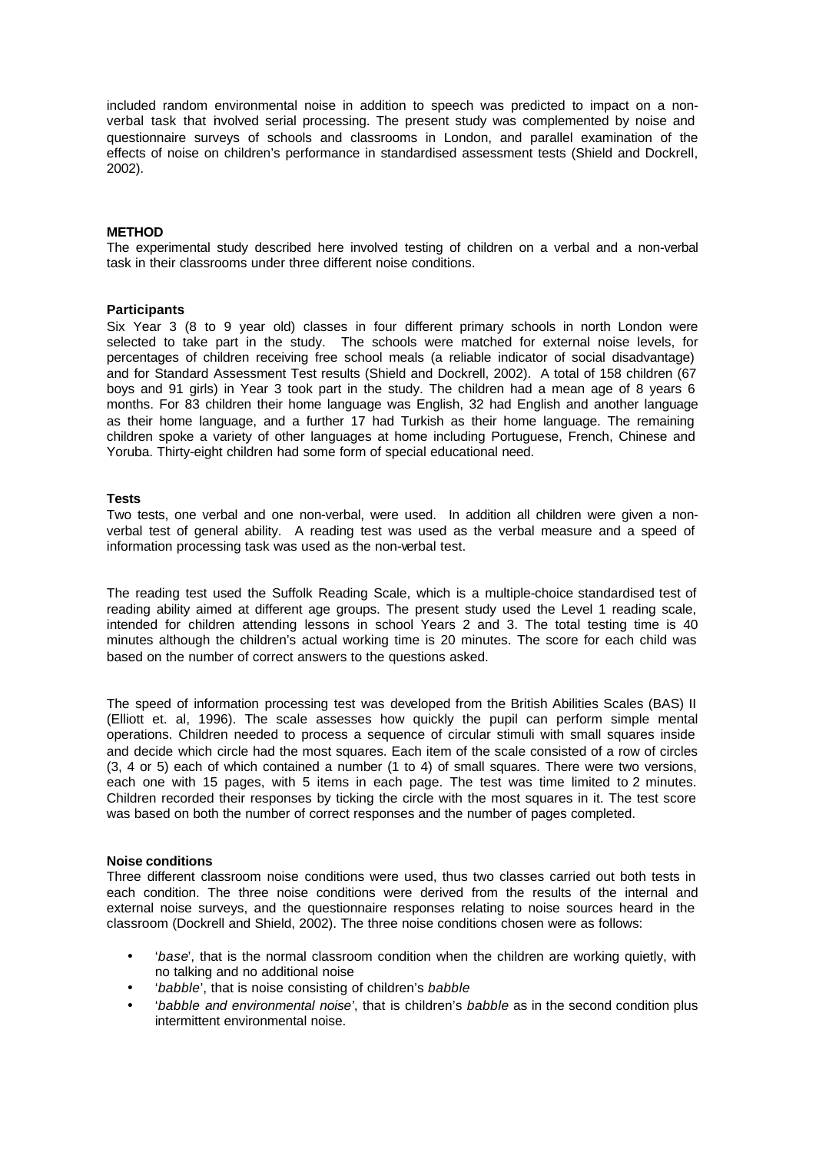included random environmental noise in addition to speech was predicted to impact on a nonverbal task that involved serial processing. The present study was complemented by noise and questionnaire surveys of schools and classrooms in London, and parallel examination of the effects of noise on children's performance in standardised assessment tests (Shield and Dockrell, 2002).

# **METHOD**

The experimental study described here involved testing of children on a verbal and a non-verbal task in their classrooms under three different noise conditions.

#### **Participants**

Six Year 3 (8 to 9 year old) classes in four different primary schools in north London were selected to take part in the study. The schools were matched for external noise levels, for percentages of children receiving free school meals (a reliable indicator of social disadvantage) and for Standard Assessment Test results (Shield and Dockrell, 2002). A total of 158 children (67 boys and 91 girls) in Year 3 took part in the study. The children had a mean age of 8 years 6 months. For 83 children their home language was English, 32 had English and another language as their home language, and a further 17 had Turkish as their home language. The remaining children spoke a variety of other languages at home including Portuguese, French, Chinese and Yoruba. Thirty-eight children had some form of special educational need.

#### **Tests**

Two tests, one verbal and one non-verbal, were used. In addition all children were given a nonverbal test of general ability. A reading test was used as the verbal measure and a speed of information processing task was used as the non-verbal test.

The reading test used the Suffolk Reading Scale, which is a multiple-choice standardised test of reading ability aimed at different age groups. The present study used the Level 1 reading scale, intended for children attending lessons in school Years 2 and 3. The total testing time is 40 minutes although the children's actual working time is 20 minutes. The score for each child was based on the number of correct answers to the questions asked.

The speed of information processing test was developed from the British Abilities Scales (BAS) II (Elliott et. al, 1996). The scale assesses how quickly the pupil can perform simple mental operations. Children needed to process a sequence of circular stimuli with small squares inside and decide which circle had the most squares. Each item of the scale consisted of a row of circles (3, 4 or 5) each of which contained a number (1 to 4) of small squares. There were two versions, each one with 15 pages, with 5 items in each page. The test was time limited to 2 minutes. Children recorded their responses by ticking the circle with the most squares in it. The test score was based on both the number of correct responses and the number of pages completed.

#### **Noise conditions**

Three different classroom noise conditions were used, thus two classes carried out both tests in each condition. The three noise conditions were derived from the results of the internal and external noise surveys, and the questionnaire responses relating to noise sources heard in the classroom (Dockrell and Shield, 2002). The three noise conditions chosen were as follows:

- '*base*', that is the normal classroom condition when the children are working quietly, with no talking and no additional noise
- '*babble*', that is noise consisting of children's *babble*
- '*babble and environmental noise'*, that is children's *babble* as in the second condition plus intermittent environmental noise.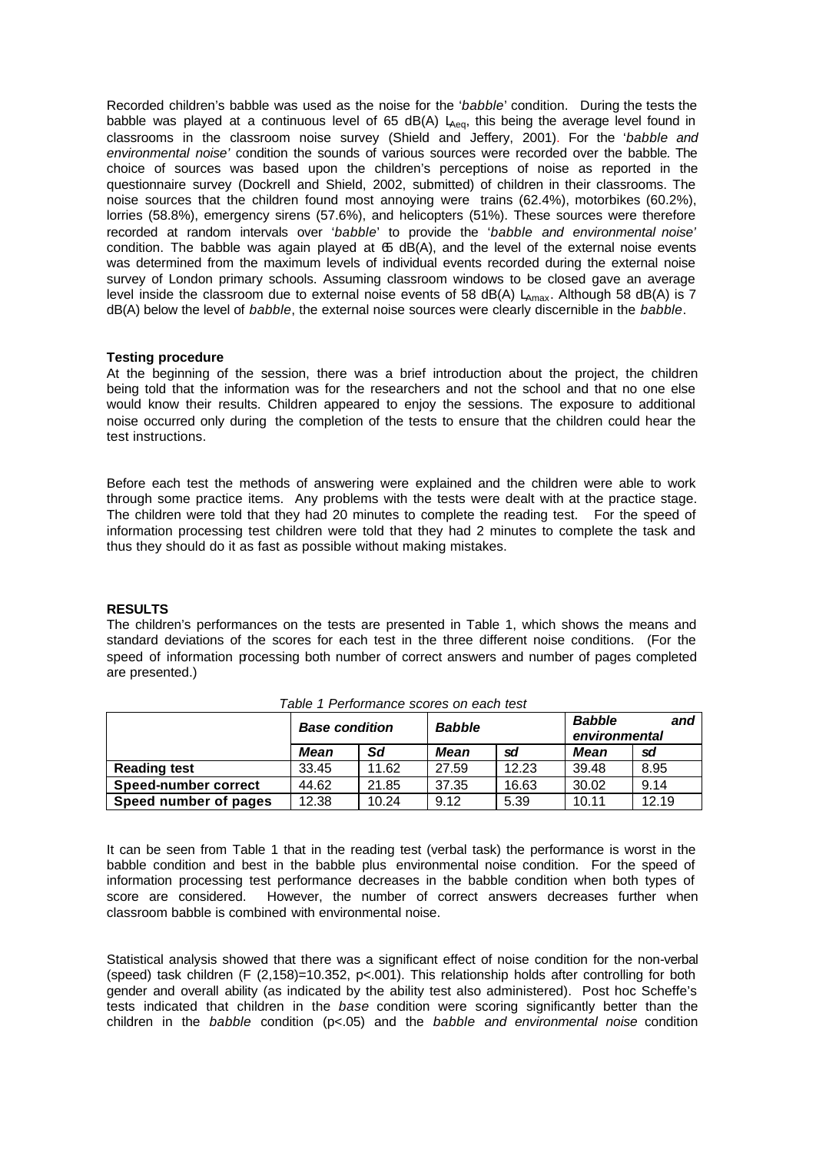Recorded children's babble was used as the noise for the '*babble*' condition. During the tests the babble was played at a continuous level of 65 dB(A)  $L_{Aeq}$ , this being the average level found in classrooms in the classroom noise survey (Shield and Jeffery, 2001). For the '*babble and environmental noise'* condition the sounds of various sources were recorded over the babble*.* The choice of sources was based upon the children's perceptions of noise as reported in the questionnaire survey (Dockrell and Shield, 2002, submitted) of children in their classrooms. The noise sources that the children found most annoying were trains (62.4%), motorbikes (60.2%), lorries (58.8%), emergency sirens (57.6%), and helicopters (51%). These sources were therefore recorded at random intervals over '*babble*' to provide the '*babble and environmental noise'*  condition. The babble was again played at  $65$  dB(A), and the level of the external noise events was determined from the maximum levels of individual events recorded during the external noise survey of London primary schools. Assuming classroom windows to be closed gave an average level inside the classroom due to external noise events of 58 dB(A)  $L_{\text{max}}$ . Although 58 dB(A) is 7 dB(A) below the level of *babble*, the external noise sources were clearly discernible in the *babble*.

## **Testing procedure**

At the beginning of the session, there was a brief introduction about the project, the children being told that the information was for the researchers and not the school and that no one else would know their results. Children appeared to enjoy the sessions. The exposure to additional noise occurred only during the completion of the tests to ensure that the children could hear the test instructions.

Before each test the methods of answering were explained and the children were able to work through some practice items. Any problems with the tests were dealt with at the practice stage. The children were told that they had 20 minutes to complete the reading test. For the speed of information processing test children were told that they had 2 minutes to complete the task and thus they should do it as fast as possible without making mistakes.

# **RESULTS**

The children's performances on the tests are presented in Table 1, which shows the means and standard deviations of the scores for each test in the three different noise conditions. (For the speed of information processing both number of correct answers and number of pages completed are presented.)

|                       | <b>Base condition</b> |       | <b>Babble</b> |       | <b>Babble</b><br>and<br>environmental |       |
|-----------------------|-----------------------|-------|---------------|-------|---------------------------------------|-------|
|                       | <b>Mean</b>           | Sd    | <b>Mean</b>   | sd    | <b>Mean</b>                           | sd    |
| <b>Reading test</b>   | 33.45                 | 11.62 | 27.59         | 12.23 | 39.48                                 | 8.95  |
| Speed-number correct  | 44.62                 | 21.85 | 37.35         | 16.63 | 30.02                                 | 9.14  |
| Speed number of pages | 12.38                 | 10.24 | 9.12          | 5.39  | 10.11                                 | 12.19 |

#### *Table 1 Performance scores on each test*

It can be seen from Table 1 that in the reading test (verbal task) the performance is worst in the babble condition and best in the babble plus environmental noise condition. For the speed of information processing test performance decreases in the babble condition when both types of score are considered. However, the number of correct answers decreases further when classroom babble is combined with environmental noise.

Statistical analysis showed that there was a significant effect of noise condition for the non-verbal (speed) task children (F  $(2,158)$ =10.352, p<.001). This relationship holds after controlling for both gender and overall ability (as indicated by the ability test also administered). Post hoc Scheffe's tests indicated that children in the *base* condition were scoring significantly better than the children in the *babble* condition (p<.05) and the *babble and environmental noise* condition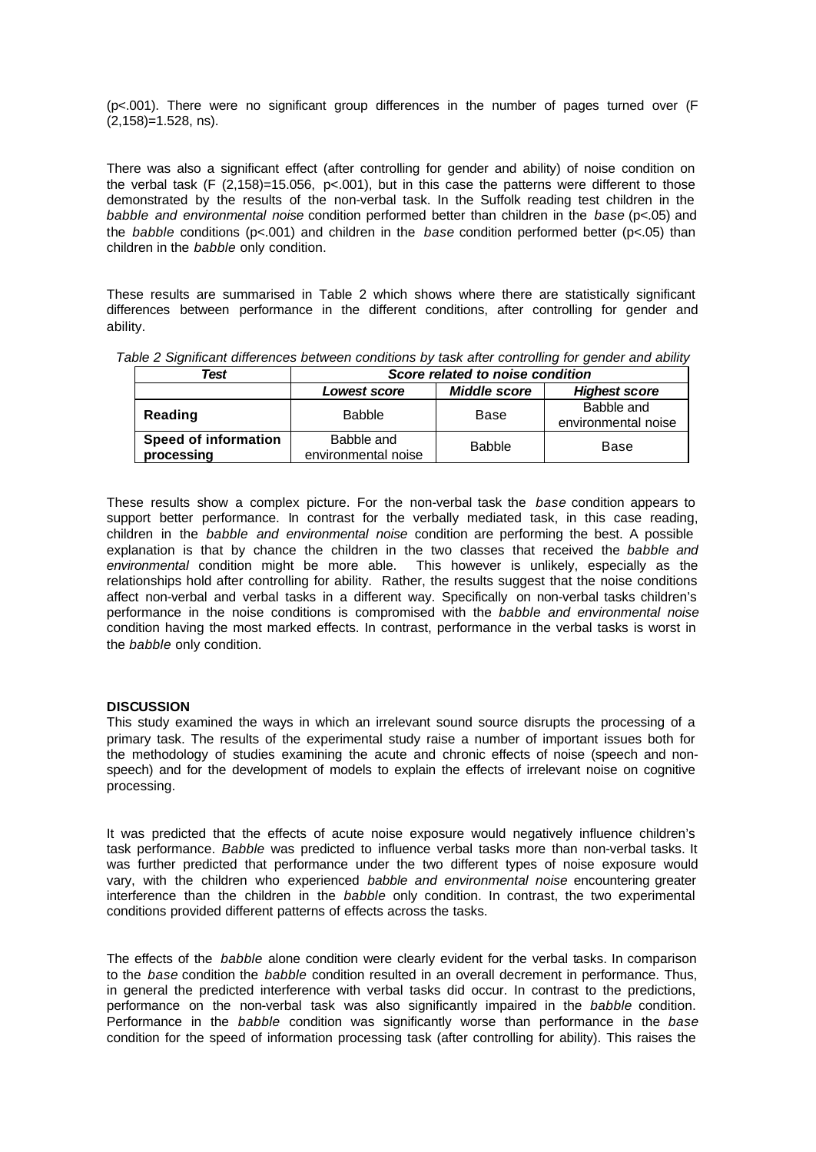(p<.001). There were no significant group differences in the number of pages turned over (F (2,158)=1.528, ns).

There was also a significant effect (after controlling for gender and ability) of noise condition on the verbal task (F (2,158)=15.056, p<.001), but in this case the patterns were different to those demonstrated by the results of the non-verbal task. In the Suffolk reading test children in the *babble and environmental noise* condition performed better than children in the *base* (p<.05) and the *babble* conditions (p<.001) and children in the *base* condition performed better (p<.05) than children in the *babble* only condition.

These results are summarised in Table 2 which shows where there are statistically significant differences between performance in the different conditions, after controlling for gender and ability.

| Test                               | Score related to noise condition  |                     |                                   |  |  |  |
|------------------------------------|-----------------------------------|---------------------|-----------------------------------|--|--|--|
|                                    | Lowest score                      | <b>Middle score</b> | <b>Highest score</b>              |  |  |  |
| Reading                            | <b>Babble</b>                     | Base                | Babble and<br>environmental noise |  |  |  |
| Speed of information<br>processing | Babble and<br>environmental noise | <b>Babble</b>       | Base                              |  |  |  |

*Table 2 Significant differences between conditions by task after controlling for gender and ability*

These results show a complex picture. For the non-verbal task the *base* condition appears to support better performance. In contrast for the verbally mediated task, in this case reading, children in the *babble and environmental noise* condition are performing the best. A possible explanation is that by chance the children in the two classes that received the *babble and environmental* condition might be more able. This however is unlikely, especially as the relationships hold after controlling for ability. Rather, the results suggest that the noise conditions affect non-verbal and verbal tasks in a different way. Specifically on non-verbal tasks children's performance in the noise conditions is compromised with the *babble and environmental noise* condition having the most marked effects. In contrast, performance in the verbal tasks is worst in the *babble* only condition.

# **DISCUSSION**

This study examined the ways in which an irrelevant sound source disrupts the processing of a primary task. The results of the experimental study raise a number of important issues both for the methodology of studies examining the acute and chronic effects of noise (speech and nonspeech) and for the development of models to explain the effects of irrelevant noise on cognitive processing.

It was predicted that the effects of acute noise exposure would negatively influence children's task performance. *Babble* was predicted to influence verbal tasks more than non-verbal tasks. It was further predicted that performance under the two different types of noise exposure would vary, with the children who experienced *babble and environmental noise* encountering greater interference than the children in the *babble* only condition. In contrast, the two experimental conditions provided different patterns of effects across the tasks.

The effects of the *babble* alone condition were clearly evident for the verbal tasks. In comparison to the *base* condition the *babble* condition resulted in an overall decrement in performance. Thus, in general the predicted interference with verbal tasks did occur. In contrast to the predictions, performance on the non-verbal task was also significantly impaired in the *babble* condition. Performance in the *babble* condition was significantly worse than performance in the *base* condition for the speed of information processing task (after controlling for ability). This raises the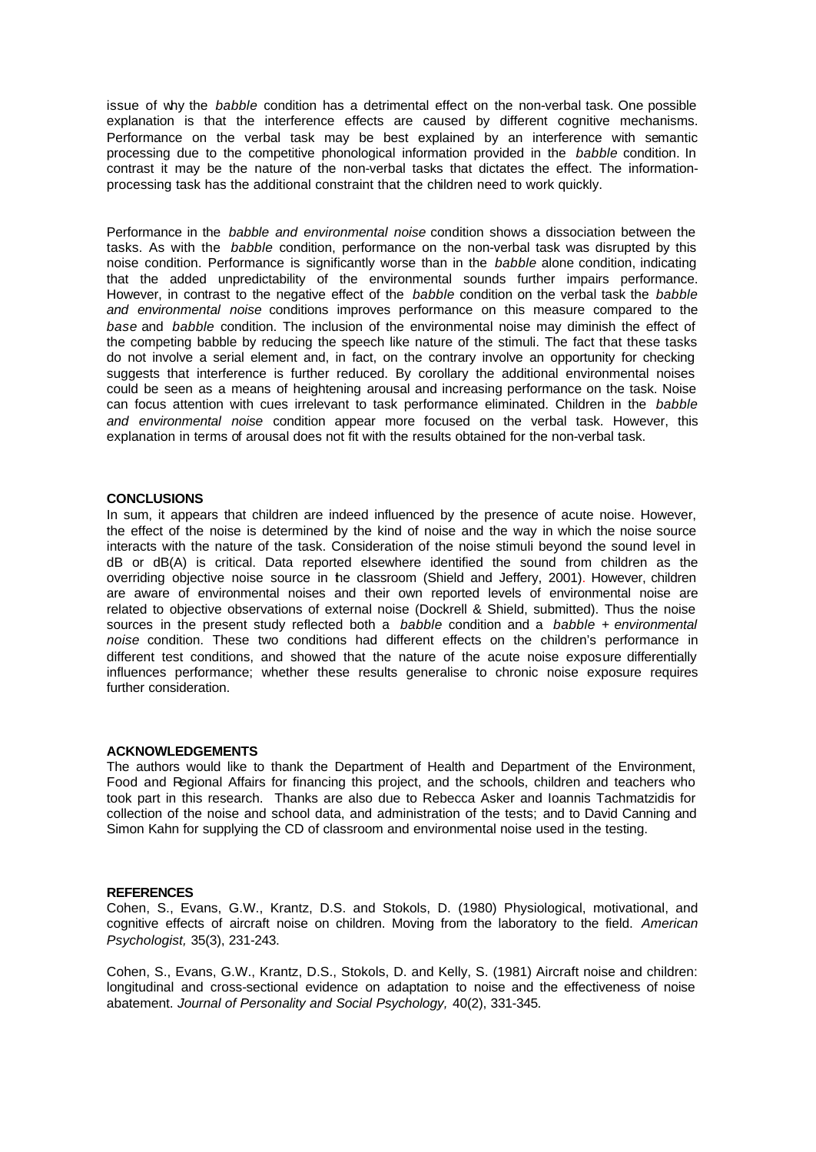issue of why the *babble* condition has a detrimental effect on the non-verbal task. One possible explanation is that the interference effects are caused by different cognitive mechanisms. Performance on the verbal task may be best explained by an interference with semantic processing due to the competitive phonological information provided in the *babble* condition. In contrast it may be the nature of the non-verbal tasks that dictates the effect. The informationprocessing task has the additional constraint that the children need to work quickly.

Performance in the *babble and environmental noise* condition shows a dissociation between the tasks. As with the *babble* condition, performance on the non-verbal task was disrupted by this noise condition. Performance is significantly worse than in the *babble* alone condition, indicating that the added unpredictability of the environmental sounds further impairs performance. However, in contrast to the negative effect of the *babble* condition on the verbal task the *babble and environmental noise* conditions improves performance on this measure compared to the *base* and *babble* condition. The inclusion of the environmental noise may diminish the effect of the competing babble by reducing the speech like nature of the stimuli. The fact that these tasks do not involve a serial element and, in fact, on the contrary involve an opportunity for checking suggests that interference is further reduced. By corollary the additional environmental noises could be seen as a means of heightening arousal and increasing performance on the task. Noise can focus attention with cues irrelevant to task performance eliminated. Children in the *babble and environmental noise* condition appear more focused on the verbal task. However, this explanation in terms of arousal does not fit with the results obtained for the non-verbal task.

#### **CONCLUSIONS**

In sum, it appears that children are indeed influenced by the presence of acute noise. However, the effect of the noise is determined by the kind of noise and the way in which the noise source interacts with the nature of the task. Consideration of the noise stimuli beyond the sound level in dB or dB(A) is critical. Data reported elsewhere identified the sound from children as the overriding objective noise source in the classroom (Shield and Jeffery, 2001). However, children are aware of environmental noises and their own reported levels of environmental noise are related to objective observations of external noise (Dockrell & Shield, submitted). Thus the noise sources in the present study reflected both a *babble* condition and a *babble + environmental noise* condition. These two conditions had different effects on the children's performance in different test conditions, and showed that the nature of the acute noise exposure differentially influences performance; whether these results generalise to chronic noise exposure requires further consideration.

## **ACKNOWLEDGEMENTS**

The authors would like to thank the Department of Health and Department of the Environment, Food and Regional Affairs for financing this project, and the schools, children and teachers who took part in this research. Thanks are also due to Rebecca Asker and Ioannis Tachmatzidis for collection of the noise and school data, and administration of the tests; and to David Canning and Simon Kahn for supplying the CD of classroom and environmental noise used in the testing.

#### **REFERENCES**

Cohen, S., Evans, G.W., Krantz, D.S. and Stokols, D. (1980) Physiological, motivational, and cognitive effects of aircraft noise on children. Moving from the laboratory to the field. *American Psychologist,* 35(3), 231-243.

Cohen, S., Evans, G.W., Krantz, D.S., Stokols, D. and Kelly, S. (1981) Aircraft noise and children: longitudinal and cross-sectional evidence on adaptation to noise and the effectiveness of noise abatement. *Journal of Personality and Social Psychology,* 40(2), 331-345.